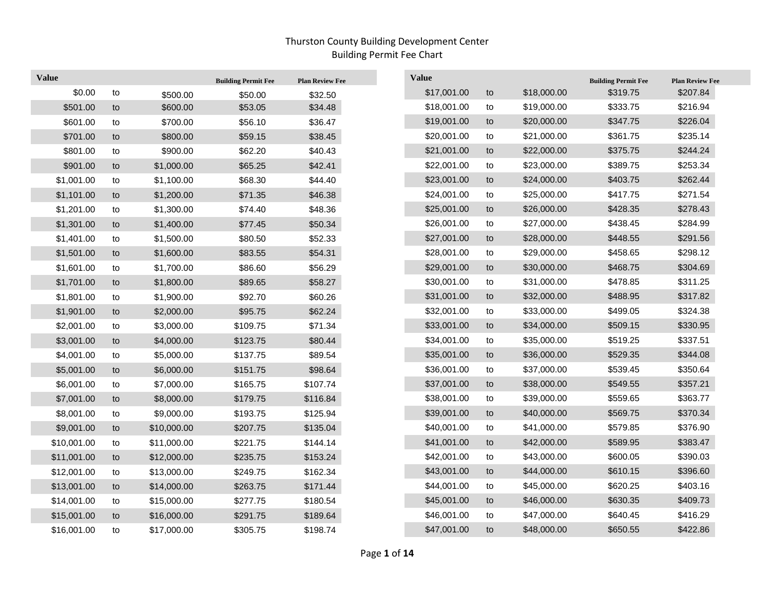| <b>Value</b> |               |             | <b>Building Permit Fee</b> | <b>Plan Review Fee</b> | <b>Value</b> |    |             | <b>Building Permit Fee</b> | <b>Plan Review Fee</b> |
|--------------|---------------|-------------|----------------------------|------------------------|--------------|----|-------------|----------------------------|------------------------|
| \$0.00       | to            | \$500.00    | \$50.00                    | \$32.50                | \$17,001.00  | to | \$18,000.00 | \$319.75                   | \$207.84               |
| \$501.00     | to            | \$600.00    | \$53.05                    | \$34.48                | \$18,001.00  | to | \$19,000.00 | \$333.75                   | \$216.94               |
| \$601.00     | to            | \$700.00    | \$56.10                    | \$36.47                | \$19,001.00  | to | \$20,000.00 | \$347.75                   | \$226.04               |
| \$701.00     | to            | \$800.00    | \$59.15                    | \$38.45                | \$20,001.00  | to | \$21,000.00 | \$361.75                   | \$235.14               |
| \$801.00     | to            | \$900.00    | \$62.20                    | \$40.43                | \$21,001.00  | to | \$22,000.00 | \$375.75                   | \$244.24               |
| \$901.00     | to            | \$1,000.00  | \$65.25                    | \$42.41                | \$22,001.00  | to | \$23,000.00 | \$389.75                   | \$253.34               |
| \$1,001.00   | to            | \$1,100.00  | \$68.30                    | \$44.40                | \$23,001.00  | to | \$24,000.00 | \$403.75                   | \$262.44               |
| \$1,101.00   | to            | \$1,200.00  | \$71.35                    | \$46.38                | \$24,001.00  | to | \$25,000.00 | \$417.75                   | \$271.54               |
| \$1,201.00   | to            | \$1,300.00  | \$74.40                    | \$48.36                | \$25,001.00  | to | \$26,000.00 | \$428.35                   | \$278.43               |
| \$1,301.00   | to            | \$1,400.00  | \$77.45                    | \$50.34                | \$26,001.00  | to | \$27,000.00 | \$438.45                   | \$284.99               |
| \$1,401.00   | to            | \$1,500.00  | \$80.50                    | \$52.33                | \$27,001.00  | to | \$28,000.00 | \$448.55                   | \$291.56               |
| \$1,501.00   | to            | \$1,600.00  | \$83.55                    | \$54.31                | \$28,001.00  | to | \$29,000.00 | \$458.65                   | \$298.12               |
| \$1,601.00   | to            | \$1,700.00  | \$86.60                    | \$56.29                | \$29,001.00  | to | \$30,000.00 | \$468.75                   | \$304.69               |
| \$1,701.00   | to            | \$1,800.00  | \$89.65                    | \$58.27                | \$30,001.00  | to | \$31,000.00 | \$478.85                   | \$311.25               |
| \$1,801.00   | to            | \$1,900.00  | \$92.70                    | \$60.26                | \$31,001.00  | to | \$32,000.00 | \$488.95                   | \$317.82               |
| \$1,901.00   | to            | \$2,000.00  | \$95.75                    | \$62.24                | \$32,001.00  | to | \$33,000.00 | \$499.05                   | \$324.38               |
| \$2,001.00   | to            | \$3,000.00  | \$109.75                   | \$71.34                | \$33,001.00  | to | \$34,000.00 | \$509.15                   | \$330.95               |
| \$3,001.00   | to            | \$4,000.00  | \$123.75                   | \$80.44                | \$34,001.00  | to | \$35,000.00 | \$519.25                   | \$337.51               |
| \$4,001.00   | $\mathsf{to}$ | \$5,000.00  | \$137.75                   | \$89.54                | \$35,001.00  | to | \$36,000.00 | \$529.35                   | \$344.08               |
| \$5,001.00   | to            | \$6,000.00  | \$151.75                   | \$98.64                | \$36,001.00  | to | \$37,000.00 | \$539.45                   | \$350.64               |
| \$6,001.00   | to            | \$7,000.00  | \$165.75                   | \$107.74               | \$37,001.00  | to | \$38,000.00 | \$549.55                   | \$357.21               |
| \$7,001.00   | to            | \$8,000.00  | \$179.75                   | \$116.84               | \$38,001.00  | to | \$39,000.00 | \$559.65                   | \$363.77               |
| \$8,001.00   | to            | \$9,000.00  | \$193.75                   | \$125.94               | \$39,001.00  | to | \$40,000.00 | \$569.75                   | \$370.34               |
| \$9,001.00   | to            | \$10,000.00 | \$207.75                   | \$135.04               | \$40,001.00  | to | \$41,000.00 | \$579.85                   | \$376.90               |
| \$10,001.00  | to            | \$11,000.00 | \$221.75                   | \$144.14               | \$41,001.00  | to | \$42,000.00 | \$589.95                   | \$383.47               |
| \$11,001.00  | to            | \$12,000.00 | \$235.75                   | \$153.24               | \$42,001.00  | to | \$43,000.00 | \$600.05                   | \$390.03               |
| \$12,001.00  | to            | \$13,000.00 | \$249.75                   | \$162.34               | \$43,001.00  | to | \$44,000.00 | \$610.15                   | \$396.60               |
| \$13,001.00  | to            | \$14,000.00 | \$263.75                   | \$171.44               | \$44,001.00  | to | \$45,000.00 | \$620.25                   | \$403.16               |
| \$14,001.00  | to            | \$15,000.00 | \$277.75                   | \$180.54               | \$45,001.00  | to | \$46,000.00 | \$630.35                   | \$409.73               |
| \$15,001.00  | to            | \$16,000.00 | \$291.75                   | \$189.64               | \$46,001.00  | to | \$47,000.00 | \$640.45                   | \$416.29               |
| \$16,001.00  | to            | \$17,000.00 | \$305.75                   | \$198.74               | \$47,001.00  | to | \$48,000.00 | \$650.55                   | \$422.86               |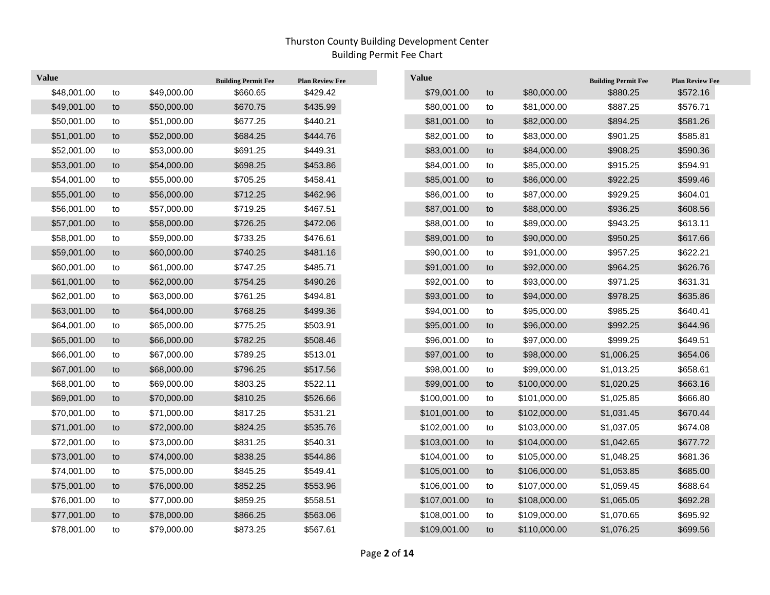| <b>Value</b> |    |             | <b>Building Permit Fee</b> | <b>Plan Review Fee</b> | <b>Value</b> |    |              | <b>Building Permit Fee</b> | <b>Plan Review Fee</b> |
|--------------|----|-------------|----------------------------|------------------------|--------------|----|--------------|----------------------------|------------------------|
| \$48,001.00  | to | \$49,000.00 | \$660.65                   | \$429.42               | \$79,001.00  | to | \$80,000.00  | \$880.25                   | \$572.16               |
| \$49,001.00  | to | \$50,000.00 | \$670.75                   | \$435.99               | \$80,001.00  | to | \$81,000.00  | \$887.25                   | \$576.71               |
| \$50,001.00  | to | \$51,000.00 | \$677.25                   | \$440.21               | \$81,001.00  | to | \$82,000.00  | \$894.25                   | \$581.26               |
| \$51,001.00  | to | \$52,000.00 | \$684.25                   | \$444.76               | \$82,001.00  | to | \$83,000.00  | \$901.25                   | \$585.81               |
| \$52,001.00  | to | \$53,000.00 | \$691.25                   | \$449.31               | \$83,001.00  | to | \$84,000.00  | \$908.25                   | \$590.36               |
| \$53,001.00  | to | \$54,000.00 | \$698.25                   | \$453.86               | \$84,001.00  | to | \$85,000.00  | \$915.25                   | \$594.91               |
| \$54,001.00  | to | \$55,000.00 | \$705.25                   | \$458.41               | \$85,001.00  | to | \$86,000.00  | \$922.25                   | \$599.46               |
| \$55,001.00  | to | \$56,000.00 | \$712.25                   | \$462.96               | \$86,001.00  | to | \$87,000.00  | \$929.25                   | \$604.01               |
| \$56,001.00  | to | \$57,000.00 | \$719.25                   | \$467.51               | \$87,001.00  | to | \$88,000.00  | \$936.25                   | \$608.56               |
| \$57,001.00  | to | \$58,000.00 | \$726.25                   | \$472.06               | \$88,001.00  | to | \$89,000.00  | \$943.25                   | \$613.11               |
| \$58,001.00  | to | \$59,000.00 | \$733.25                   | \$476.61               | \$89,001.00  | to | \$90,000.00  | \$950.25                   | \$617.66               |
| \$59,001.00  | to | \$60,000.00 | \$740.25                   | \$481.16               | \$90,001.00  | to | \$91,000.00  | \$957.25                   | \$622.21               |
| \$60,001.00  | to | \$61,000.00 | \$747.25                   | \$485.71               | \$91,001.00  | to | \$92,000.00  | \$964.25                   | \$626.76               |
| \$61,001.00  | to | \$62,000.00 | \$754.25                   | \$490.26               | \$92,001.00  | to | \$93,000.00  | \$971.25                   | \$631.31               |
| \$62,001.00  | to | \$63,000.00 | \$761.25                   | \$494.81               | \$93,001.00  | to | \$94,000.00  | \$978.25                   | \$635.86               |
| \$63,001.00  | to | \$64,000.00 | \$768.25                   | \$499.36               | \$94,001.00  | to | \$95,000.00  | \$985.25                   | \$640.41               |
| \$64,001.00  | to | \$65,000.00 | \$775.25                   | \$503.91               | \$95,001.00  | to | \$96,000.00  | \$992.25                   | \$644.96               |
| \$65,001.00  | to | \$66,000.00 | \$782.25                   | \$508.46               | \$96,001.00  | to | \$97,000.00  | \$999.25                   | \$649.51               |
| \$66,001.00  | to | \$67,000.00 | \$789.25                   | \$513.01               | \$97,001.00  | to | \$98,000.00  | \$1,006.25                 | \$654.06               |
| \$67,001.00  | to | \$68,000.00 | \$796.25                   | \$517.56               | \$98,001.00  | to | \$99,000.00  | \$1,013.25                 | \$658.61               |
| \$68,001.00  | to | \$69,000.00 | \$803.25                   | \$522.11               | \$99,001.00  | to | \$100,000.00 | \$1,020.25                 | \$663.16               |
| \$69,001.00  | to | \$70,000.00 | \$810.25                   | \$526.66               | \$100,001.00 | to | \$101,000.00 | \$1,025.85                 | \$666.80               |
| \$70,001.00  | to | \$71,000.00 | \$817.25                   | \$531.21               | \$101,001.00 | to | \$102,000.00 | \$1,031.45                 | \$670.44               |
| \$71,001.00  | to | \$72,000.00 | \$824.25                   | \$535.76               | \$102,001.00 | to | \$103,000.00 | \$1,037.05                 | \$674.08               |
| \$72,001.00  | to | \$73,000.00 | \$831.25                   | \$540.31               | \$103,001.00 | to | \$104,000.00 | \$1,042.65                 | \$677.72               |
| \$73,001.00  | to | \$74,000.00 | \$838.25                   | \$544.86               | \$104,001.00 | to | \$105,000.00 | \$1,048.25                 | \$681.36               |
| \$74,001.00  | to | \$75,000.00 | \$845.25                   | \$549.41               | \$105,001.00 | to | \$106,000.00 | \$1,053.85                 | \$685.00               |
| \$75,001.00  | to | \$76,000.00 | \$852.25                   | \$553.96               | \$106,001.00 | to | \$107,000.00 | \$1,059.45                 | \$688.64               |
| \$76,001.00  | to | \$77,000.00 | \$859.25                   | \$558.51               | \$107,001.00 | to | \$108,000.00 | \$1,065.05                 | \$692.28               |
| \$77,001.00  | to | \$78,000.00 | \$866.25                   | \$563.06               | \$108,001.00 | to | \$109,000.00 | \$1,070.65                 | \$695.92               |
| \$78,001.00  | to | \$79,000.00 | \$873.25                   | \$567.61               | \$109,001.00 | to | \$110,000.00 | \$1,076.25                 | \$699.56               |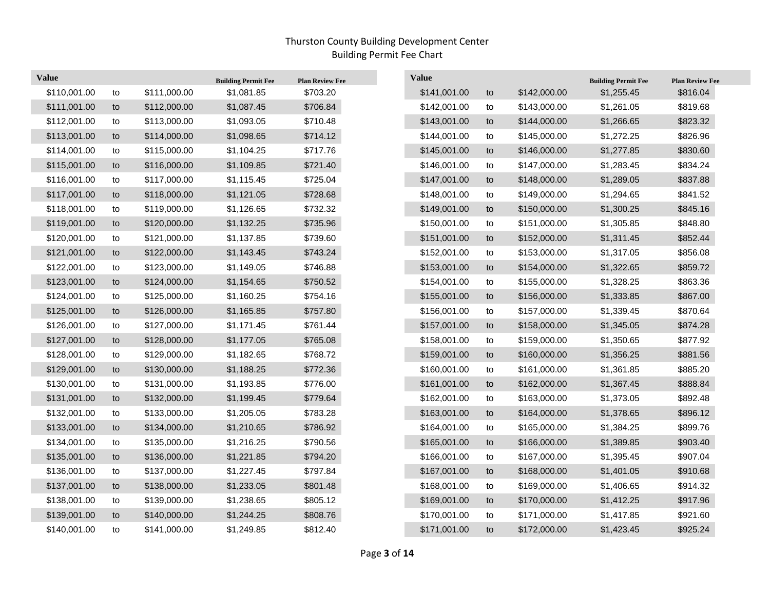$\overline{\phantom{a}}$ 

| <b>Value</b> |    |              | <b>Building Permit Fee</b> | <b>Plan Review Fee</b> | <b>Value</b> |    |              | <b>Building Permit Fee</b> | <b>Plan Review Fee</b> |
|--------------|----|--------------|----------------------------|------------------------|--------------|----|--------------|----------------------------|------------------------|
| \$110,001.00 | to | \$111,000.00 | \$1,081.85                 | \$703.20               | \$141,001.00 | to | \$142,000.00 | \$1,255.45                 | \$816.04               |
| \$111,001.00 | to | \$112,000.00 | \$1,087.45                 | \$706.84               | \$142,001.00 | to | \$143,000.00 | \$1,261.05                 | \$819.68               |
| \$112,001.00 | to | \$113,000.00 | \$1,093.05                 | \$710.48               | \$143,001.00 | to | \$144,000.00 | \$1,266.65                 | \$823.32               |
| \$113,001.00 | to | \$114,000.00 | \$1,098.65                 | \$714.12               | \$144,001.00 | to | \$145,000.00 | \$1,272.25                 | \$826.96               |
| \$114,001.00 | to | \$115,000.00 | \$1,104.25                 | \$717.76               | \$145,001.00 | to | \$146,000.00 | \$1,277.85                 | \$830.60               |
| \$115,001.00 | to | \$116,000.00 | \$1,109.85                 | \$721.40               | \$146,001.00 | to | \$147,000.00 | \$1,283.45                 | \$834.24               |
| \$116,001.00 | to | \$117,000.00 | \$1,115.45                 | \$725.04               | \$147,001.00 | to | \$148,000.00 | \$1,289.05                 | \$837.88               |
| \$117,001.00 | to | \$118,000.00 | \$1,121.05                 | \$728.68               | \$148,001.00 | to | \$149,000.00 | \$1,294.65                 | \$841.52               |
| \$118,001.00 | to | \$119,000.00 | \$1,126.65                 | \$732.32               | \$149,001.00 | to | \$150,000.00 | \$1,300.25                 | \$845.16               |
| \$119,001.00 | to | \$120,000.00 | \$1,132.25                 | \$735.96               | \$150,001.00 | to | \$151,000.00 | \$1,305.85                 | \$848.80               |
| \$120,001.00 | to | \$121,000.00 | \$1,137.85                 | \$739.60               | \$151,001.00 | to | \$152,000.00 | \$1,311.45                 | \$852.44               |
| \$121,001.00 | to | \$122,000.00 | \$1,143.45                 | \$743.24               | \$152,001.00 | to | \$153,000.00 | \$1,317.05                 | \$856.08               |
| \$122,001.00 | to | \$123,000.00 | \$1,149.05                 | \$746.88               | \$153,001.00 | to | \$154,000.00 | \$1,322.65                 | \$859.72               |
| \$123,001.00 | to | \$124,000.00 | \$1,154.65                 | \$750.52               | \$154,001.00 | to | \$155,000.00 | \$1,328.25                 | \$863.36               |
| \$124,001.00 | to | \$125,000.00 | \$1,160.25                 | \$754.16               | \$155,001.00 | to | \$156,000.00 | \$1,333.85                 | \$867.00               |
| \$125,001.00 | to | \$126,000.00 | \$1,165.85                 | \$757.80               | \$156,001.00 | to | \$157,000.00 | \$1,339.45                 | \$870.64               |
| \$126,001.00 | to | \$127,000.00 | \$1,171.45                 | \$761.44               | \$157,001.00 | to | \$158,000.00 | \$1,345.05                 | \$874.28               |
| \$127,001.00 | to | \$128,000.00 | \$1,177.05                 | \$765.08               | \$158,001.00 | to | \$159,000.00 | \$1,350.65                 | \$877.92               |
| \$128,001.00 | to | \$129,000.00 | \$1,182.65                 | \$768.72               | \$159,001.00 | to | \$160,000.00 | \$1,356.25                 | \$881.56               |
| \$129,001.00 | to | \$130,000.00 | \$1,188.25                 | \$772.36               | \$160,001.00 | to | \$161,000.00 | \$1,361.85                 | \$885.20               |
| \$130,001.00 | to | \$131,000.00 | \$1,193.85                 | \$776.00               | \$161,001.00 | to | \$162,000.00 | \$1,367.45                 | \$888.84               |
| \$131,001.00 | to | \$132,000.00 | \$1,199.45                 | \$779.64               | \$162,001.00 | to | \$163,000.00 | \$1,373.05                 | \$892.48               |
| \$132,001.00 | to | \$133,000.00 | \$1,205.05                 | \$783.28               | \$163,001.00 | to | \$164,000.00 | \$1,378.65                 | \$896.12               |
| \$133,001.00 | to | \$134,000.00 | \$1,210.65                 | \$786.92               | \$164,001.00 | to | \$165,000.00 | \$1,384.25                 | \$899.76               |
| \$134,001.00 | to | \$135,000.00 | \$1,216.25                 | \$790.56               | \$165,001.00 | to | \$166,000.00 | \$1,389.85                 | \$903.40               |
| \$135,001.00 | to | \$136,000.00 | \$1,221.85                 | \$794.20               | \$166,001.00 | to | \$167,000.00 | \$1,395.45                 | \$907.04               |
| \$136,001.00 | to | \$137,000.00 | \$1,227.45                 | \$797.84               | \$167,001.00 | to | \$168,000.00 | \$1,401.05                 | \$910.68               |
| \$137,001.00 | to | \$138,000.00 | \$1,233.05                 | \$801.48               | \$168,001.00 | to | \$169,000.00 | \$1,406.65                 | \$914.32               |
| \$138,001.00 | to | \$139,000.00 | \$1,238.65                 | \$805.12               | \$169,001.00 | to | \$170,000.00 | \$1,412.25                 | \$917.96               |
| \$139,001.00 | to | \$140,000.00 | \$1,244.25                 | \$808.76               | \$170,001.00 | to | \$171,000.00 | \$1,417.85                 | \$921.60               |
| \$140,001.00 | to | \$141,000.00 | \$1,249.85                 | \$812.40               | \$171,001.00 | to | \$172,000.00 | \$1,423.45                 | \$925.24               |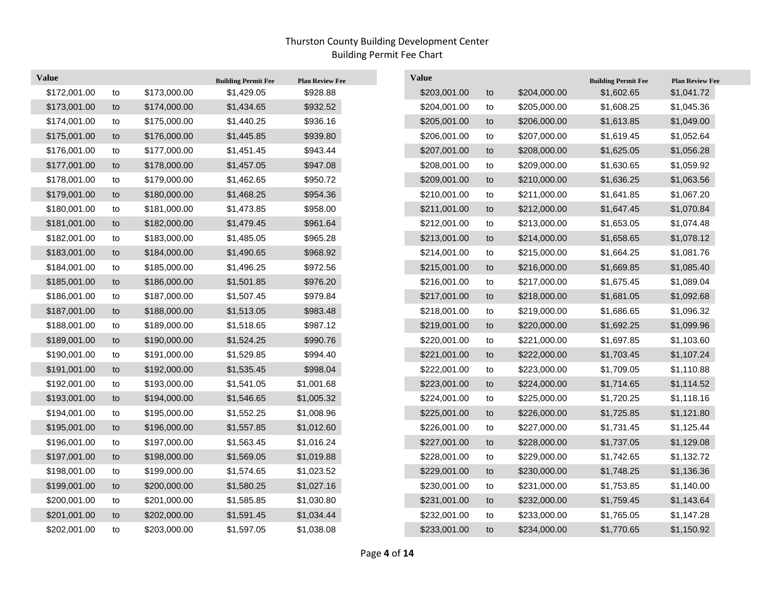| <b>Value</b> |    |              | <b>Building Permit Fee</b> | <b>Plan Review Fee</b> | <b>Value</b> |    |              | <b>Building Permit Fee</b> | <b>Plan Review Fee</b> |
|--------------|----|--------------|----------------------------|------------------------|--------------|----|--------------|----------------------------|------------------------|
| \$172,001.00 | to | \$173,000.00 | \$1,429.05                 | \$928.88               | \$203,001.00 | to | \$204,000.00 | \$1,602.65                 | \$1,041.72             |
| \$173,001.00 | to | \$174,000.00 | \$1,434.65                 | \$932.52               | \$204,001.00 | to | \$205,000.00 | \$1,608.25                 | \$1,045.36             |
| \$174,001.00 | to | \$175,000.00 | \$1,440.25                 | \$936.16               | \$205,001.00 | to | \$206,000.00 | \$1,613.85                 | \$1,049.00             |
| \$175,001.00 | to | \$176,000.00 | \$1,445.85                 | \$939.80               | \$206,001.00 | to | \$207,000.00 | \$1,619.45                 | \$1,052.64             |
| \$176,001.00 | to | \$177,000.00 | \$1,451.45                 | \$943.44               | \$207,001.00 | to | \$208,000.00 | \$1,625.05                 | \$1,056.28             |
| \$177,001.00 | to | \$178,000.00 | \$1,457.05                 | \$947.08               | \$208,001.00 | to | \$209,000.00 | \$1,630.65                 | \$1,059.92             |
| \$178,001.00 | to | \$179,000.00 | \$1,462.65                 | \$950.72               | \$209,001.00 | to | \$210,000.00 | \$1,636.25                 | \$1,063.56             |
| \$179,001.00 | to | \$180,000.00 | \$1,468.25                 | \$954.36               | \$210,001.00 | to | \$211,000.00 | \$1,641.85                 | \$1,067.20             |
| \$180,001.00 | to | \$181,000.00 | \$1,473.85                 | \$958.00               | \$211,001.00 | to | \$212,000.00 | \$1,647.45                 | \$1,070.84             |
| \$181,001.00 | to | \$182,000.00 | \$1,479.45                 | \$961.64               | \$212,001.00 | to | \$213,000.00 | \$1,653.05                 | \$1,074.48             |
| \$182,001.00 | to | \$183,000.00 | \$1,485.05                 | \$965.28               | \$213,001.00 | to | \$214,000.00 | \$1,658.65                 | \$1,078.12             |
| \$183,001.00 | to | \$184,000.00 | \$1,490.65                 | \$968.92               | \$214,001.00 | to | \$215,000.00 | \$1,664.25                 | \$1,081.76             |
| \$184,001.00 | to | \$185,000.00 | \$1,496.25                 | \$972.56               | \$215,001.00 | to | \$216,000.00 | \$1,669.85                 | \$1,085.40             |
| \$185,001.00 | to | \$186,000.00 | \$1,501.85                 | \$976.20               | \$216,001.00 | to | \$217,000.00 | \$1,675.45                 | \$1,089.04             |
| \$186,001.00 | to | \$187,000.00 | \$1,507.45                 | \$979.84               | \$217,001.00 | to | \$218,000.00 | \$1,681.05                 | \$1,092.68             |
| \$187,001.00 | to | \$188,000.00 | \$1,513.05                 | \$983.48               | \$218,001.00 | to | \$219,000.00 | \$1,686.65                 | \$1,096.32             |
| \$188,001.00 | to | \$189,000.00 | \$1,518.65                 | \$987.12               | \$219,001.00 | to | \$220,000.00 | \$1,692.25                 | \$1,099.96             |
| \$189,001.00 | to | \$190,000.00 | \$1,524.25                 | \$990.76               | \$220,001.00 | to | \$221,000.00 | \$1,697.85                 | \$1,103.60             |
| \$190,001.00 | to | \$191,000.00 | \$1,529.85                 | \$994.40               | \$221,001.00 | to | \$222,000.00 | \$1,703.45                 | \$1,107.24             |
| \$191,001.00 | to | \$192,000.00 | \$1,535.45                 | \$998.04               | \$222,001.00 | to | \$223,000.00 | \$1,709.05                 | \$1,110.88             |
| \$192,001.00 | to | \$193,000.00 | \$1,541.05                 | \$1,001.68             | \$223,001.00 | to | \$224,000.00 | \$1,714.65                 | \$1,114.52             |
| \$193,001.00 | to | \$194,000.00 | \$1,546.65                 | \$1,005.32             | \$224,001.00 | to | \$225,000.00 | \$1,720.25                 | \$1,118.16             |
| \$194,001.00 | to | \$195,000.00 | \$1,552.25                 | \$1,008.96             | \$225,001.00 | to | \$226,000.00 | \$1,725.85                 | \$1,121.80             |
| \$195,001.00 | to | \$196,000.00 | \$1,557.85                 | \$1,012.60             | \$226,001.00 | to | \$227,000.00 | \$1,731.45                 | \$1,125.44             |
| \$196,001.00 | to | \$197,000.00 | \$1,563.45                 | \$1,016.24             | \$227,001.00 | to | \$228,000.00 | \$1,737.05                 | \$1,129.08             |
| \$197,001.00 | to | \$198,000.00 | \$1,569.05                 | \$1,019.88             | \$228,001.00 | to | \$229,000.00 | \$1,742.65                 | \$1,132.72             |
| \$198,001.00 | to | \$199,000.00 | \$1,574.65                 | \$1,023.52             | \$229,001.00 | to | \$230,000.00 | \$1,748.25                 | \$1,136.36             |
| \$199,001.00 | to | \$200,000.00 | \$1,580.25                 | \$1,027.16             | \$230,001.00 | to | \$231,000.00 | \$1,753.85                 | \$1,140.00             |
| \$200,001.00 | to | \$201,000.00 | \$1,585.85                 | \$1,030.80             | \$231,001.00 | to | \$232,000.00 | \$1,759.45                 | \$1,143.64             |
| \$201,001.00 | to | \$202,000.00 | \$1,591.45                 | \$1,034.44             | \$232,001.00 | to | \$233,000.00 | \$1,765.05                 | \$1,147.28             |
| \$202,001.00 | to | \$203,000.00 | \$1,597.05                 | \$1,038.08             | \$233,001.00 | to | \$234,000.00 | \$1,770.65                 | \$1,150.92             |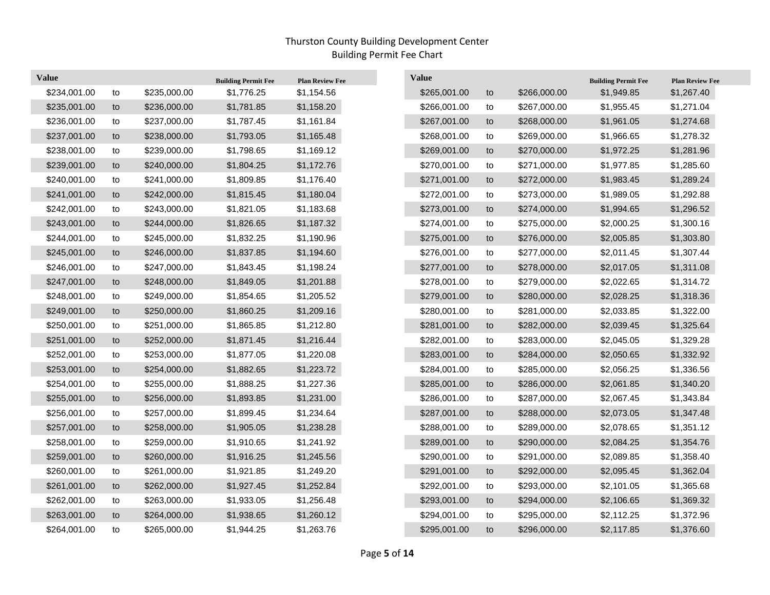| <b>Value</b> |    |              | <b>Building Permit Fee</b> | <b>Plan Review Fee</b> | <b>Value</b> |    |              | <b>Building Permit Fee</b> | <b>Plan Review Fee</b> |
|--------------|----|--------------|----------------------------|------------------------|--------------|----|--------------|----------------------------|------------------------|
| \$234,001.00 | to | \$235,000.00 | \$1,776.25                 | \$1,154.56             | \$265,001.00 | to | \$266,000.00 | \$1,949.85                 | \$1,267.40             |
| \$235,001.00 | to | \$236,000.00 | \$1,781.85                 | \$1,158.20             | \$266,001.00 | to | \$267,000.00 | \$1,955.45                 | \$1,271.04             |
| \$236,001.00 | to | \$237,000.00 | \$1,787.45                 | \$1,161.84             | \$267,001.00 | to | \$268,000.00 | \$1,961.05                 | \$1,274.68             |
| \$237,001.00 | to | \$238,000.00 | \$1,793.05                 | \$1,165.48             | \$268,001.00 | to | \$269,000.00 | \$1,966.65                 | \$1,278.32             |
| \$238,001.00 | to | \$239,000.00 | \$1,798.65                 | \$1,169.12             | \$269,001.00 | to | \$270,000.00 | \$1,972.25                 | \$1,281.96             |
| \$239,001.00 | to | \$240,000.00 | \$1,804.25                 | \$1,172.76             | \$270,001.00 | to | \$271,000.00 | \$1,977.85                 | \$1,285.60             |
| \$240,001.00 | to | \$241,000.00 | \$1,809.85                 | \$1,176.40             | \$271,001.00 | to | \$272,000.00 | \$1,983.45                 | \$1,289.24             |
| \$241,001.00 | to | \$242,000.00 | \$1,815.45                 | \$1,180.04             | \$272,001.00 | to | \$273,000.00 | \$1,989.05                 | \$1,292.88             |
| \$242,001.00 | to | \$243,000.00 | \$1,821.05                 | \$1,183.68             | \$273,001.00 | to | \$274,000.00 | \$1,994.65                 | \$1,296.52             |
| \$243,001.00 | to | \$244,000.00 | \$1,826.65                 | \$1,187.32             | \$274,001.00 | to | \$275,000.00 | \$2,000.25                 | \$1,300.16             |
| \$244,001.00 | to | \$245,000.00 | \$1,832.25                 | \$1,190.96             | \$275,001.00 | to | \$276,000.00 | \$2,005.85                 | \$1,303.80             |
| \$245,001.00 | to | \$246,000.00 | \$1,837.85                 | \$1,194.60             | \$276,001.00 | to | \$277,000.00 | \$2,011.45                 | \$1,307.44             |
| \$246,001.00 | to | \$247,000.00 | \$1,843.45                 | \$1,198.24             | \$277,001.00 | to | \$278,000.00 | \$2,017.05                 | \$1,311.08             |
| \$247,001.00 | to | \$248,000.00 | \$1,849.05                 | \$1,201.88             | \$278,001.00 | to | \$279,000.00 | \$2,022.65                 | \$1,314.72             |
| \$248,001.00 | to | \$249,000.00 | \$1,854.65                 | \$1,205.52             | \$279,001.00 | to | \$280,000.00 | \$2,028.25                 | \$1,318.36             |
| \$249,001.00 | to | \$250,000.00 | \$1,860.25                 | \$1,209.16             | \$280,001.00 | to | \$281,000.00 | \$2,033.85                 | \$1,322.00             |
| \$250,001.00 | to | \$251,000.00 | \$1,865.85                 | \$1,212.80             | \$281,001.00 | to | \$282,000.00 | \$2,039.45                 | \$1,325.64             |
| \$251,001.00 | to | \$252,000.00 | \$1,871.45                 | \$1,216.44             | \$282,001.00 | to | \$283,000.00 | \$2,045.05                 | \$1,329.28             |
| \$252,001.00 | to | \$253,000.00 | \$1,877.05                 | \$1,220.08             | \$283,001.00 | to | \$284,000.00 | \$2,050.65                 | \$1,332.92             |
| \$253,001.00 | to | \$254,000.00 | \$1,882.65                 | \$1,223.72             | \$284,001.00 | to | \$285,000.00 | \$2,056.25                 | \$1,336.56             |
| \$254,001.00 | to | \$255,000.00 | \$1,888.25                 | \$1,227.36             | \$285,001.00 | to | \$286,000.00 | \$2,061.85                 | \$1,340.20             |
| \$255,001.00 | to | \$256,000.00 | \$1,893.85                 | \$1,231.00             | \$286,001.00 | to | \$287,000.00 | \$2,067.45                 | \$1,343.84             |
| \$256,001.00 | to | \$257,000.00 | \$1,899.45                 | \$1,234.64             | \$287,001.00 | to | \$288,000.00 | \$2,073.05                 | \$1,347.48             |
| \$257,001.00 | to | \$258,000.00 | \$1,905.05                 | \$1,238.28             | \$288,001.00 | to | \$289,000.00 | \$2,078.65                 | \$1,351.12             |
| \$258,001.00 | to | \$259,000.00 | \$1,910.65                 | \$1,241.92             | \$289,001.00 | to | \$290,000.00 | \$2,084.25                 | \$1,354.76             |
| \$259,001.00 | to | \$260,000.00 | \$1,916.25                 | \$1,245.56             | \$290,001.00 | to | \$291,000.00 | \$2,089.85                 | \$1,358.40             |
| \$260,001.00 | to | \$261,000.00 | \$1,921.85                 | \$1,249.20             | \$291,001.00 | to | \$292,000.00 | \$2,095.45                 | \$1,362.04             |
| \$261,001.00 | to | \$262,000.00 | \$1,927.45                 | \$1,252.84             | \$292,001.00 | to | \$293,000.00 | \$2,101.05                 | \$1,365.68             |
| \$262,001.00 | to | \$263,000.00 | \$1,933.05                 | \$1,256.48             | \$293,001.00 | to | \$294,000.00 | \$2,106.65                 | \$1,369.32             |
| \$263,001.00 | to | \$264,000.00 | \$1,938.65                 | \$1,260.12             | \$294,001.00 | to | \$295,000.00 | \$2,112.25                 | \$1,372.96             |
| \$264,001.00 | to | \$265,000.00 | \$1,944.25                 | \$1,263.76             | \$295,001.00 | to | \$296,000.00 | \$2,117.85                 | \$1,376.60             |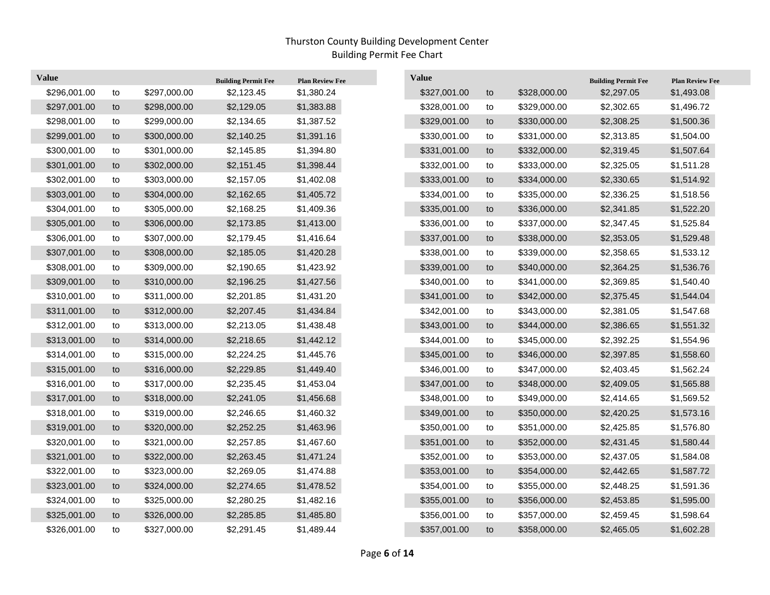$\overline{\phantom{a}}$ 

| <b>Value</b> |    |              | <b>Building Permit Fee</b> | <b>Plan Review Fee</b> | Value        |    |              | <b>Building Permit Fee</b> | <b>Plan Review Fee</b> |
|--------------|----|--------------|----------------------------|------------------------|--------------|----|--------------|----------------------------|------------------------|
| \$296,001.00 | to | \$297,000.00 | \$2,123.45                 | \$1,380.24             | \$327,001.00 | to | \$328,000.00 | \$2,297.05                 | \$1,493.08             |
| \$297,001.00 | to | \$298,000.00 | \$2,129.05                 | \$1,383.88             | \$328,001.00 | to | \$329,000.00 | \$2,302.65                 | \$1,496.72             |
| \$298,001.00 | to | \$299,000.00 | \$2,134.65                 | \$1,387.52             | \$329,001.00 | to | \$330,000.00 | \$2,308.25                 | \$1,500.36             |
| \$299,001.00 | to | \$300,000.00 | \$2,140.25                 | \$1,391.16             | \$330,001.00 | to | \$331,000.00 | \$2,313.85                 | \$1,504.00             |
| \$300,001.00 | to | \$301,000.00 | \$2,145.85                 | \$1,394.80             | \$331,001.00 | to | \$332,000.00 | \$2,319.45                 | \$1,507.64             |
| \$301,001.00 | to | \$302,000.00 | \$2,151.45                 | \$1,398.44             | \$332,001.00 | to | \$333,000.00 | \$2,325.05                 | \$1,511.28             |
| \$302,001.00 | to | \$303,000.00 | \$2,157.05                 | \$1,402.08             | \$333,001.00 | to | \$334,000.00 | \$2,330.65                 | \$1,514.92             |
| \$303,001.00 | to | \$304,000.00 | \$2,162.65                 | \$1,405.72             | \$334,001.00 | to | \$335,000.00 | \$2,336.25                 | \$1,518.56             |
| \$304,001.00 | to | \$305,000.00 | \$2,168.25                 | \$1,409.36             | \$335,001.00 | to | \$336,000.00 | \$2,341.85                 | \$1,522.20             |
| \$305,001.00 | to | \$306,000.00 | \$2,173.85                 | \$1,413.00             | \$336,001.00 | to | \$337,000.00 | \$2,347.45                 | \$1,525.84             |
| \$306,001.00 | to | \$307,000.00 | \$2,179.45                 | \$1,416.64             | \$337,001.00 | to | \$338,000.00 | \$2,353.05                 | \$1,529.48             |
| \$307,001.00 | to | \$308,000.00 | \$2,185.05                 | \$1,420.28             | \$338,001.00 | to | \$339,000.00 | \$2,358.65                 | \$1,533.12             |
| \$308,001.00 | to | \$309,000.00 | \$2,190.65                 | \$1,423.92             | \$339,001.00 | to | \$340,000.00 | \$2,364.25                 | \$1,536.76             |
| \$309,001.00 | to | \$310,000.00 | \$2,196.25                 | \$1,427.56             | \$340,001.00 | to | \$341,000.00 | \$2,369.85                 | \$1,540.40             |
| \$310,001.00 | to | \$311,000.00 | \$2,201.85                 | \$1,431.20             | \$341,001.00 | to | \$342,000.00 | \$2,375.45                 | \$1,544.04             |
| \$311,001.00 | to | \$312,000.00 | \$2,207.45                 | \$1,434.84             | \$342,001.00 | to | \$343,000.00 | \$2,381.05                 | \$1,547.68             |
| \$312,001.00 | to | \$313,000.00 | \$2,213.05                 | \$1,438.48             | \$343,001.00 | to | \$344,000.00 | \$2,386.65                 | \$1,551.32             |
| \$313,001.00 | to | \$314,000.00 | \$2,218.65                 | \$1,442.12             | \$344,001.00 | to | \$345,000.00 | \$2,392.25                 | \$1,554.96             |
| \$314,001.00 | to | \$315,000.00 | \$2,224.25                 | \$1,445.76             | \$345,001.00 | to | \$346,000.00 | \$2,397.85                 | \$1,558.60             |
| \$315,001.00 | to | \$316,000.00 | \$2,229.85                 | \$1,449.40             | \$346,001.00 | to | \$347,000.00 | \$2,403.45                 | \$1,562.24             |
| \$316,001.00 | to | \$317,000.00 | \$2,235.45                 | \$1,453.04             | \$347,001.00 | to | \$348,000.00 | \$2,409.05                 | \$1,565.88             |
| \$317,001.00 | to | \$318,000.00 | \$2,241.05                 | \$1,456.68             | \$348,001.00 | to | \$349,000.00 | \$2,414.65                 | \$1,569.52             |
| \$318,001.00 | to | \$319,000.00 | \$2,246.65                 | \$1,460.32             | \$349,001.00 | to | \$350,000.00 | \$2,420.25                 | \$1,573.16             |
| \$319,001.00 | to | \$320,000.00 | \$2,252.25                 | \$1,463.96             | \$350,001.00 | to | \$351,000.00 | \$2,425.85                 | \$1,576.80             |
| \$320,001.00 | to | \$321,000.00 | \$2,257.85                 | \$1,467.60             | \$351,001.00 | to | \$352,000.00 | \$2,431.45                 | \$1,580.44             |
| \$321,001.00 | to | \$322,000.00 | \$2,263.45                 | \$1,471.24             | \$352,001.00 | to | \$353,000.00 | \$2,437.05                 | \$1,584.08             |
| \$322,001.00 | to | \$323,000.00 | \$2,269.05                 | \$1,474.88             | \$353,001.00 | to | \$354,000.00 | \$2,442.65                 | \$1,587.72             |
| \$323,001.00 | to | \$324,000.00 | \$2,274.65                 | \$1,478.52             | \$354,001.00 | to | \$355,000.00 | \$2,448.25                 | \$1,591.36             |
| \$324,001.00 | to | \$325,000.00 | \$2,280.25                 | \$1,482.16             | \$355,001.00 | to | \$356,000.00 | \$2,453.85                 | \$1,595.00             |
| \$325,001.00 | to | \$326,000.00 | \$2,285.85                 | \$1,485.80             | \$356,001.00 | to | \$357,000.00 | \$2,459.45                 | \$1,598.64             |
| \$326,001.00 | to | \$327,000.00 | \$2,291.45                 | \$1,489.44             | \$357,001.00 | to | \$358,000.00 | \$2,465.05                 | \$1,602.28             |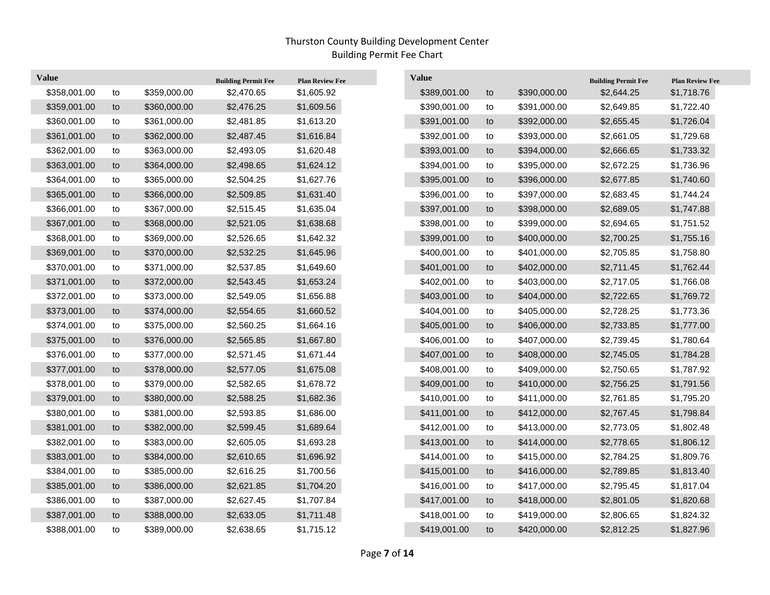| <b>Value</b> |    |              | <b>Building Permit Fee</b> | <b>Plan Review Fee</b> | <b>Value</b> |            |              | <b>Building Permit Fee</b> | <b>Plan Review Fee</b> |
|--------------|----|--------------|----------------------------|------------------------|--------------|------------|--------------|----------------------------|------------------------|
| \$358,001.00 | to | \$359,000.00 | \$2,470.65                 | \$1,605.92             | \$389,001.00 | to         | \$390,000.00 | \$2,644.25                 | \$1,718.76             |
| \$359,001.00 | to | \$360,000.00 | \$2,476.25                 | \$1,609.56             | \$390,001.00 | to         | \$391,000.00 | \$2,649.85                 | \$1,722.40             |
| \$360,001.00 | to | \$361,000.00 | \$2,481.85                 | \$1,613.20             | \$391,001.00 | to         | \$392,000.00 | \$2,655.45                 | \$1,726.04             |
| \$361,001.00 | to | \$362,000.00 | \$2,487.45                 | \$1,616.84             | \$392,001.00 | to         | \$393,000.00 | \$2,661.05                 | \$1,729.68             |
| \$362,001.00 | to | \$363,000.00 | \$2,493.05                 | \$1,620.48             | \$393,001.00 | to         | \$394,000.00 | \$2,666.65                 | \$1,733.32             |
| \$363,001.00 | to | \$364,000.00 | \$2,498.65                 | \$1,624.12             | \$394,001.00 | to         | \$395,000.00 | \$2,672.25                 | \$1,736.96             |
| \$364,001.00 | to | \$365,000.00 | \$2,504.25                 | \$1,627.76             | \$395,001.00 | to         | \$396,000.00 | \$2,677.85                 | \$1,740.60             |
| \$365,001.00 | to | \$366,000.00 | \$2,509.85                 | \$1,631.40             | \$396,001.00 | to         | \$397,000.00 | \$2,683.45                 | \$1,744.24             |
| \$366,001.00 | to | \$367,000.00 | \$2,515.45                 | \$1,635.04             | \$397,001.00 | to         | \$398,000.00 | \$2,689.05                 | \$1,747.88             |
| \$367,001.00 | to | \$368,000.00 | \$2,521.05                 | \$1,638.68             | \$398,001.00 | to         | \$399,000.00 | \$2,694.65                 | \$1,751.52             |
| \$368,001.00 | to | \$369,000.00 | \$2,526.65                 | \$1,642.32             | \$399,001.00 | to         | \$400,000.00 | \$2,700.25                 | \$1,755.16             |
| \$369,001.00 | to | \$370,000.00 | \$2,532.25                 | \$1,645.96             | \$400,001.00 | to         | \$401,000.00 | \$2,705.85                 | \$1,758.80             |
| \$370,001.00 | to | \$371,000.00 | \$2,537.85                 | \$1,649.60             | \$401,001.00 | to         | \$402,000.00 | \$2,711.45                 | \$1,762.44             |
| \$371,001.00 | to | \$372,000.00 | \$2,543.45                 | \$1,653.24             | \$402,001.00 | to         | \$403,000.00 | \$2,717.05                 | \$1,766.08             |
| \$372,001.00 | to | \$373,000.00 | \$2,549.05                 | \$1,656.88             | \$403,001.00 | to         | \$404,000.00 | \$2,722.65                 | \$1,769.72             |
| \$373,001.00 | to | \$374,000.00 | \$2,554.65                 | \$1,660.52             | \$404,001.00 | to         | \$405,000.00 | \$2,728.25                 | \$1,773.36             |
| \$374,001.00 | to | \$375,000.00 | \$2,560.25                 | \$1,664.16             | \$405,001.00 | to         | \$406,000.00 | \$2,733.85                 | \$1,777.00             |
| \$375,001.00 | to | \$376,000.00 | \$2,565.85                 | \$1,667.80             | \$406,001.00 | to         | \$407,000.00 | \$2,739.45                 | \$1,780.64             |
| \$376,001.00 | to | \$377,000.00 | \$2,571.45                 | \$1,671.44             | \$407,001.00 | to         | \$408,000.00 | \$2,745.05                 | \$1,784.28             |
| \$377,001.00 | to | \$378,000.00 | \$2,577.05                 | \$1,675.08             | \$408,001.00 | to         | \$409,000.00 | \$2,750.65                 | \$1,787.92             |
| \$378,001.00 | to | \$379,000.00 | \$2,582.65                 | \$1,678.72             | \$409,001.00 | to         | \$410,000.00 | \$2,756.25                 | \$1,791.56             |
| \$379,001.00 | to | \$380,000.00 | \$2,588.25                 | \$1,682.36             | \$410,001.00 | to         | \$411,000.00 | \$2,761.85                 | \$1,795.20             |
| \$380,001.00 | to | \$381,000.00 | \$2,593.85                 | \$1,686.00             | \$411,001.00 | to         | \$412,000.00 | \$2,767.45                 | \$1,798.84             |
| \$381,001.00 | to | \$382,000.00 | \$2,599.45                 | \$1,689.64             | \$412,001.00 | ${\sf to}$ | \$413,000.00 | \$2,773.05                 | \$1,802.48             |
| \$382,001.00 | to | \$383,000.00 | \$2,605.05                 | \$1,693.28             | \$413,001.00 | to         | \$414,000.00 | \$2,778.65                 | \$1,806.12             |
| \$383,001.00 | to | \$384,000.00 | \$2,610.65                 | \$1,696.92             | \$414,001.00 | to         | \$415,000.00 | \$2,784.25                 | \$1,809.76             |
| \$384,001.00 | to | \$385,000.00 | \$2,616.25                 | \$1,700.56             | \$415,001.00 | to         | \$416,000.00 | \$2,789.85                 | \$1,813.40             |
| \$385,001.00 | to | \$386,000.00 | \$2,621.85                 | \$1,704.20             | \$416,001.00 | to         | \$417,000.00 | \$2,795.45                 | \$1,817.04             |
| \$386,001.00 | to | \$387,000.00 | \$2,627.45                 | \$1,707.84             | \$417,001.00 | to         | \$418,000.00 | \$2,801.05                 | \$1,820.68             |
| \$387,001.00 | to | \$388,000.00 | \$2,633.05                 | \$1,711.48             | \$418,001.00 | to         | \$419,000.00 | \$2,806.65                 | \$1,824.32             |
| \$388,001.00 | to | \$389,000.00 | \$2,638.65                 | \$1,715.12             | \$419,001.00 | to         | \$420,000.00 | \$2,812.25                 | \$1,827.96             |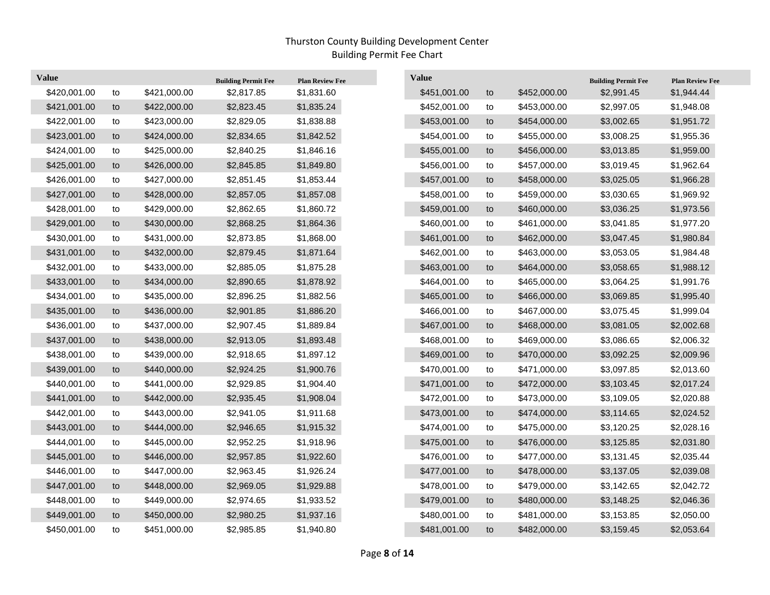$\overline{\phantom{a}}$ 

| <b>Value</b> |    |              | <b>Building Permit Fee</b> | <b>Plan Review Fee</b> | <b>Value</b> |    |              | <b>Building Permit Fee</b> | <b>Plan Review Fee</b> |
|--------------|----|--------------|----------------------------|------------------------|--------------|----|--------------|----------------------------|------------------------|
| \$420,001.00 | to | \$421,000.00 | \$2,817.85                 | \$1,831.60             | \$451,001.00 | to | \$452,000.00 | \$2,991.45                 | \$1,944.44             |
| \$421,001.00 | to | \$422,000.00 | \$2,823.45                 | \$1,835.24             | \$452,001.00 | to | \$453,000.00 | \$2,997.05                 | \$1,948.08             |
| \$422,001.00 | to | \$423,000.00 | \$2,829.05                 | \$1,838.88             | \$453,001.00 | to | \$454,000.00 | \$3,002.65                 | \$1,951.72             |
| \$423,001.00 | to | \$424,000.00 | \$2,834.65                 | \$1,842.52             | \$454,001.00 | to | \$455,000.00 | \$3,008.25                 | \$1,955.36             |
| \$424,001.00 | to | \$425,000.00 | \$2,840.25                 | \$1,846.16             | \$455,001.00 | to | \$456,000.00 | \$3,013.85                 | \$1,959.00             |
| \$425,001.00 | to | \$426,000.00 | \$2,845.85                 | \$1,849.80             | \$456,001.00 | to | \$457,000.00 | \$3,019.45                 | \$1,962.64             |
| \$426,001.00 | to | \$427,000.00 | \$2,851.45                 | \$1,853.44             | \$457,001.00 | to | \$458,000.00 | \$3,025.05                 | \$1,966.28             |
| \$427,001.00 | to | \$428,000.00 | \$2,857.05                 | \$1,857.08             | \$458,001.00 | to | \$459,000.00 | \$3,030.65                 | \$1,969.92             |
| \$428,001.00 | to | \$429,000.00 | \$2,862.65                 | \$1,860.72             | \$459,001.00 | to | \$460,000.00 | \$3,036.25                 | \$1,973.56             |
| \$429,001.00 | to | \$430,000.00 | \$2,868.25                 | \$1,864.36             | \$460,001.00 | to | \$461,000.00 | \$3,041.85                 | \$1,977.20             |
| \$430,001.00 | to | \$431,000.00 | \$2,873.85                 | \$1,868.00             | \$461,001.00 | to | \$462,000.00 | \$3,047.45                 | \$1,980.84             |
| \$431,001.00 | to | \$432,000.00 | \$2,879.45                 | \$1,871.64             | \$462,001.00 | to | \$463,000.00 | \$3,053.05                 | \$1,984.48             |
| \$432,001.00 | to | \$433,000.00 | \$2,885.05                 | \$1,875.28             | \$463,001.00 | to | \$464,000.00 | \$3,058.65                 | \$1,988.12             |
| \$433,001.00 | to | \$434,000.00 | \$2,890.65                 | \$1,878.92             | \$464,001.00 | to | \$465,000.00 | \$3,064.25                 | \$1,991.76             |
| \$434,001.00 | to | \$435,000.00 | \$2,896.25                 | \$1,882.56             | \$465,001.00 | to | \$466,000.00 | \$3,069.85                 | \$1,995.40             |
| \$435,001.00 | to | \$436,000.00 | \$2,901.85                 | \$1,886.20             | \$466,001.00 | to | \$467,000.00 | \$3,075.45                 | \$1,999.04             |
| \$436,001.00 | to | \$437,000.00 | \$2,907.45                 | \$1,889.84             | \$467,001.00 | to | \$468,000.00 | \$3,081.05                 | \$2,002.68             |
| \$437,001.00 | to | \$438,000.00 | \$2,913.05                 | \$1,893.48             | \$468,001.00 | to | \$469,000.00 | \$3,086.65                 | \$2,006.32             |
| \$438,001.00 | to | \$439,000.00 | \$2,918.65                 | \$1,897.12             | \$469,001.00 | to | \$470,000.00 | \$3,092.25                 | \$2,009.96             |
| \$439,001.00 | to | \$440,000.00 | \$2,924.25                 | \$1,900.76             | \$470,001.00 | to | \$471,000.00 | \$3,097.85                 | \$2,013.60             |
| \$440,001.00 | to | \$441,000.00 | \$2,929.85                 | \$1,904.40             | \$471,001.00 | to | \$472,000.00 | \$3,103.45                 | \$2,017.24             |
| \$441,001.00 | to | \$442,000.00 | \$2,935.45                 | \$1,908.04             | \$472,001.00 | to | \$473,000.00 | \$3,109.05                 | \$2,020.88             |
| \$442,001.00 | to | \$443,000.00 | \$2,941.05                 | \$1,911.68             | \$473,001.00 | to | \$474,000.00 | \$3,114.65                 | \$2,024.52             |
| \$443,001.00 | to | \$444,000.00 | \$2,946.65                 | \$1,915.32             | \$474,001.00 | to | \$475,000.00 | \$3,120.25                 | \$2,028.16             |
| \$444,001.00 | to | \$445,000.00 | \$2,952.25                 | \$1,918.96             | \$475,001.00 | to | \$476,000.00 | \$3,125.85                 | \$2,031.80             |
| \$445,001.00 | to | \$446,000.00 | \$2,957.85                 | \$1,922.60             | \$476,001.00 | to | \$477,000.00 | \$3,131.45                 | \$2,035.44             |
| \$446,001.00 | to | \$447,000.00 | \$2,963.45                 | \$1,926.24             | \$477,001.00 | to | \$478,000.00 | \$3,137.05                 | \$2,039.08             |
| \$447,001.00 | to | \$448,000.00 | \$2,969.05                 | \$1,929.88             | \$478,001.00 | to | \$479,000.00 | \$3,142.65                 | \$2,042.72             |
| \$448,001.00 | to | \$449,000.00 | \$2,974.65                 | \$1,933.52             | \$479,001.00 | to | \$480,000.00 | \$3,148.25                 | \$2,046.36             |
| \$449,001.00 | to | \$450,000.00 | \$2,980.25                 | \$1,937.16             | \$480,001.00 | to | \$481,000.00 | \$3,153.85                 | \$2,050.00             |
| \$450,001.00 | to | \$451,000.00 | \$2,985.85                 | \$1,940.80             | \$481,001.00 | to | \$482,000.00 | \$3,159.45                 | \$2,053.64             |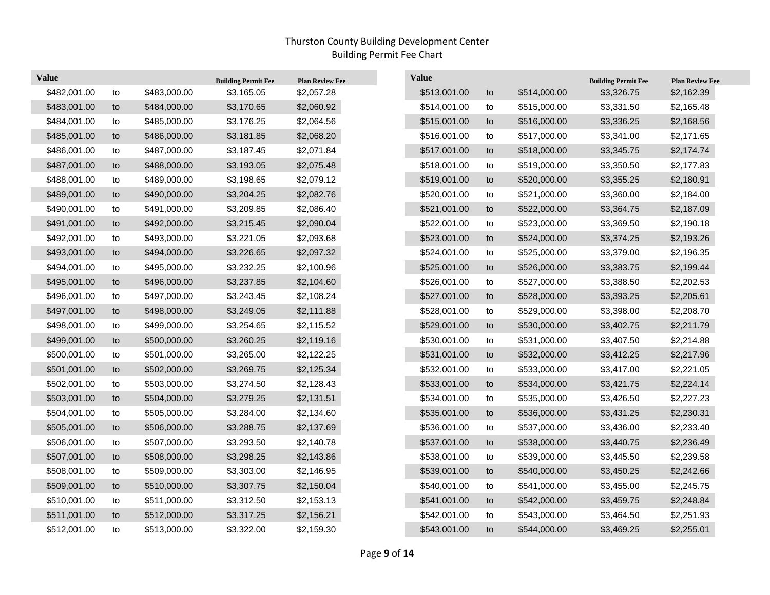| <b>Value</b> |    |              | <b>Building Permit Fee</b> | <b>Plan Review Fee</b> | <b>Value</b> |    |              | <b>Building Permit Fee</b> | <b>Plan Review Fee</b> |
|--------------|----|--------------|----------------------------|------------------------|--------------|----|--------------|----------------------------|------------------------|
| \$482,001.00 | to | \$483,000.00 | \$3,165.05                 | \$2,057.28             | \$513,001.00 | to | \$514,000.00 | \$3,326.75                 | \$2,162.39             |
| \$483,001.00 | to | \$484,000.00 | \$3,170.65                 | \$2,060.92             | \$514,001.00 | to | \$515,000.00 | \$3,331.50                 | \$2,165.48             |
| \$484,001.00 | to | \$485,000.00 | \$3,176.25                 | \$2,064.56             | \$515,001.00 | to | \$516,000.00 | \$3,336.25                 | \$2,168.56             |
| \$485,001.00 | to | \$486,000.00 | \$3,181.85                 | \$2,068.20             | \$516,001.00 | to | \$517,000.00 | \$3,341.00                 | \$2,171.65             |
| \$486,001.00 | to | \$487,000.00 | \$3,187.45                 | \$2,071.84             | \$517,001.00 | to | \$518,000.00 | \$3,345.75                 | \$2,174.74             |
| \$487,001.00 | to | \$488,000.00 | \$3,193.05                 | \$2,075.48             | \$518,001.00 | to | \$519,000.00 | \$3,350.50                 | \$2,177.83             |
| \$488,001.00 | to | \$489,000.00 | \$3,198.65                 | \$2,079.12             | \$519,001.00 | to | \$520,000.00 | \$3,355.25                 | \$2,180.91             |
| \$489,001.00 | to | \$490,000.00 | \$3,204.25                 | \$2,082.76             | \$520,001.00 | to | \$521,000.00 | \$3,360.00                 | \$2,184.00             |
| \$490,001.00 | to | \$491,000.00 | \$3,209.85                 | \$2,086.40             | \$521,001.00 | to | \$522,000.00 | \$3,364.75                 | \$2,187.09             |
| \$491,001.00 | to | \$492,000.00 | \$3,215.45                 | \$2,090.04             | \$522,001.00 | to | \$523,000.00 | \$3,369.50                 | \$2,190.18             |
| \$492,001.00 | to | \$493,000.00 | \$3,221.05                 | \$2,093.68             | \$523,001.00 | to | \$524,000.00 | \$3,374.25                 | \$2,193.26             |
| \$493,001.00 | to | \$494,000.00 | \$3,226.65                 | \$2,097.32             | \$524,001.00 | to | \$525,000.00 | \$3,379.00                 | \$2,196.35             |
| \$494,001.00 | to | \$495,000.00 | \$3,232.25                 | \$2,100.96             | \$525,001.00 | to | \$526,000.00 | \$3,383.75                 | \$2,199.44             |
| \$495,001.00 | to | \$496,000.00 | \$3,237.85                 | \$2,104.60             | \$526,001.00 | to | \$527,000.00 | \$3,388.50                 | \$2,202.53             |
| \$496,001.00 | to | \$497,000.00 | \$3,243.45                 | \$2,108.24             | \$527,001.00 | to | \$528,000.00 | \$3,393.25                 | \$2,205.61             |
| \$497,001.00 | to | \$498,000.00 | \$3,249.05                 | \$2,111.88             | \$528,001.00 | to | \$529,000.00 | \$3,398.00                 | \$2,208.70             |
| \$498,001.00 | to | \$499,000.00 | \$3,254.65                 | \$2,115.52             | \$529,001.00 | to | \$530,000.00 | \$3,402.75                 | \$2,211.79             |
| \$499,001.00 | to | \$500,000.00 | \$3,260.25                 | \$2,119.16             | \$530,001.00 | to | \$531,000.00 | \$3,407.50                 | \$2,214.88             |
| \$500,001.00 | to | \$501,000.00 | \$3,265.00                 | \$2,122.25             | \$531,001.00 | to | \$532,000.00 | \$3,412.25                 | \$2,217.96             |
| \$501,001.00 | to | \$502,000.00 | \$3,269.75                 | \$2,125.34             | \$532,001.00 | to | \$533,000.00 | \$3,417.00                 | \$2,221.05             |
| \$502,001.00 | to | \$503,000.00 | \$3,274.50                 | \$2,128.43             | \$533,001.00 | to | \$534,000.00 | \$3,421.75                 | \$2,224.14             |
| \$503,001.00 | to | \$504,000.00 | \$3,279.25                 | \$2,131.51             | \$534,001.00 | to | \$535,000.00 | \$3,426.50                 | \$2,227.23             |
| \$504,001.00 | to | \$505,000.00 | \$3,284.00                 | \$2,134.60             | \$535,001.00 | to | \$536,000.00 | \$3,431.25                 | \$2,230.31             |
| \$505,001.00 | to | \$506,000.00 | \$3,288.75                 | \$2,137.69             | \$536,001.00 | to | \$537,000.00 | \$3,436.00                 | \$2,233.40             |
| \$506,001.00 | to | \$507,000.00 | \$3,293.50                 | \$2,140.78             | \$537,001.00 | to | \$538,000.00 | \$3,440.75                 | \$2,236.49             |
| \$507,001.00 | to | \$508,000.00 | \$3,298.25                 | \$2,143.86             | \$538,001.00 | to | \$539,000.00 | \$3,445.50                 | \$2,239.58             |
| \$508,001.00 | to | \$509,000.00 | \$3,303.00                 | \$2,146.95             | \$539,001.00 | to | \$540,000.00 | \$3,450.25                 | \$2,242.66             |
| \$509,001.00 | to | \$510,000.00 | \$3,307.75                 | \$2,150.04             | \$540,001.00 | to | \$541,000.00 | \$3,455.00                 | \$2,245.75             |
| \$510,001.00 | to | \$511,000.00 | \$3,312.50                 | \$2,153.13             | \$541,001.00 | to | \$542,000.00 | \$3,459.75                 | \$2,248.84             |
| \$511,001.00 | to | \$512,000.00 | \$3,317.25                 | \$2,156.21             | \$542,001.00 | to | \$543,000.00 | \$3,464.50                 | \$2,251.93             |
| \$512,001.00 | to | \$513,000.00 | \$3,322.00                 | \$2,159.30             | \$543,001.00 | to | \$544,000.00 | \$3,469.25                 | \$2,255.01             |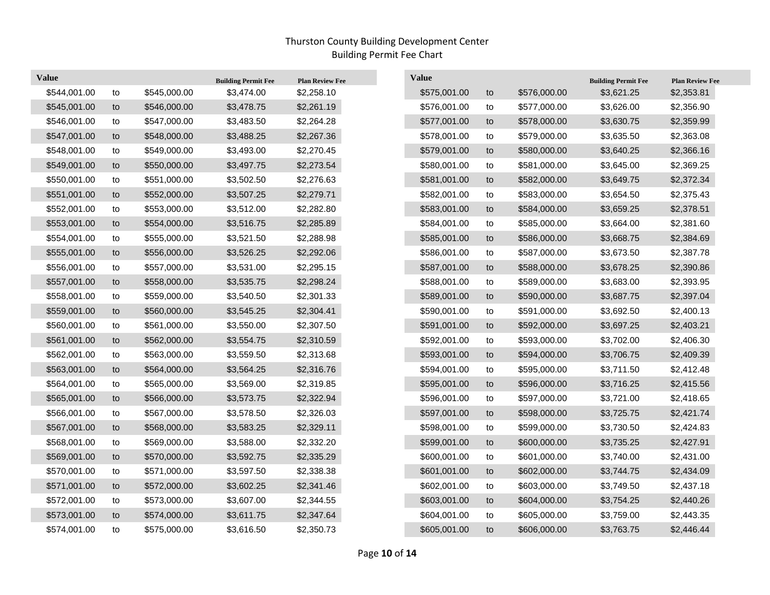| <b>Value</b> |    |              | <b>Building Permit Fee</b> | <b>Plan Review Fee</b> | <b>Value</b> |            |              | <b>Building Permit Fee</b> | <b>Plan Review Fee</b> |
|--------------|----|--------------|----------------------------|------------------------|--------------|------------|--------------|----------------------------|------------------------|
| \$544,001.00 | to | \$545,000.00 | \$3,474.00                 | \$2,258.10             | \$575,001.00 | to         | \$576,000.00 | \$3,621.25                 | \$2,353.81             |
| \$545,001.00 | to | \$546,000.00 | \$3,478.75                 | \$2,261.19             | \$576,001.00 | to         | \$577,000.00 | \$3,626.00                 | \$2,356.90             |
| \$546,001.00 | to | \$547,000.00 | \$3,483.50                 | \$2,264.28             | \$577,001.00 | to         | \$578,000.00 | \$3,630.75                 | \$2,359.99             |
| \$547,001.00 | to | \$548,000.00 | \$3,488.25                 | \$2,267.36             | \$578,001.00 | to         | \$579,000.00 | \$3,635.50                 | \$2,363.08             |
| \$548,001.00 | to | \$549,000.00 | \$3,493.00                 | \$2,270.45             | \$579,001.00 | to         | \$580,000.00 | \$3,640.25                 | \$2,366.16             |
| \$549,001.00 | to | \$550,000.00 | \$3,497.75                 | \$2,273.54             | \$580,001.00 | to         | \$581,000.00 | \$3,645.00                 | \$2,369.25             |
| \$550,001.00 | to | \$551,000.00 | \$3,502.50                 | \$2,276.63             | \$581,001.00 | to         | \$582,000.00 | \$3,649.75                 | \$2,372.34             |
| \$551,001.00 | to | \$552,000.00 | \$3,507.25                 | \$2,279.71             | \$582,001.00 | to         | \$583,000.00 | \$3,654.50                 | \$2,375.43             |
| \$552,001.00 | to | \$553,000.00 | \$3,512.00                 | \$2,282.80             | \$583,001.00 | to         | \$584,000.00 | \$3,659.25                 | \$2,378.51             |
| \$553,001.00 | to | \$554,000.00 | \$3,516.75                 | \$2,285.89             | \$584,001.00 | to         | \$585,000.00 | \$3,664.00                 | \$2,381.60             |
| \$554,001.00 | to | \$555,000.00 | \$3,521.50                 | \$2,288.98             | \$585,001.00 | to         | \$586,000.00 | \$3,668.75                 | \$2,384.69             |
| \$555,001.00 | to | \$556,000.00 | \$3,526.25                 | \$2,292.06             | \$586,001.00 | ${\sf to}$ | \$587,000.00 | \$3,673.50                 | \$2,387.78             |
| \$556,001.00 | to | \$557,000.00 | \$3,531.00                 | \$2,295.15             | \$587,001.00 | to         | \$588,000.00 | \$3,678.25                 | \$2,390.86             |
| \$557,001.00 | to | \$558,000.00 | \$3,535.75                 | \$2,298.24             | \$588,001.00 | to         | \$589,000.00 | \$3,683.00                 | \$2,393.95             |
| \$558,001.00 | to | \$559,000.00 | \$3,540.50                 | \$2,301.33             | \$589,001.00 | to         | \$590,000.00 | \$3,687.75                 | \$2,397.04             |
| \$559,001.00 | to | \$560,000.00 | \$3,545.25                 | \$2,304.41             | \$590,001.00 | to         | \$591,000.00 | \$3,692.50                 | \$2,400.13             |
| \$560,001.00 | to | \$561,000.00 | \$3,550.00                 | \$2,307.50             | \$591,001.00 | to         | \$592,000.00 | \$3,697.25                 | \$2,403.21             |
| \$561,001.00 | to | \$562,000.00 | \$3,554.75                 | \$2,310.59             | \$592,001.00 | ${\sf to}$ | \$593,000.00 | \$3,702.00                 | \$2,406.30             |
| \$562,001.00 | to | \$563,000.00 | \$3,559.50                 | \$2,313.68             | \$593,001.00 | to         | \$594,000.00 | \$3,706.75                 | \$2,409.39             |
| \$563,001.00 | to | \$564,000.00 | \$3,564.25                 | \$2,316.76             | \$594,001.00 | to         | \$595,000.00 | \$3,711.50                 | \$2,412.48             |
| \$564,001.00 | to | \$565,000.00 | \$3,569.00                 | \$2,319.85             | \$595,001.00 | to         | \$596,000.00 | \$3,716.25                 | \$2,415.56             |
| \$565,001.00 | to | \$566,000.00 | \$3,573.75                 | \$2,322.94             | \$596,001.00 | to         | \$597,000.00 | \$3,721.00                 | \$2,418.65             |
| \$566,001.00 | to | \$567,000.00 | \$3,578.50                 | \$2,326.03             | \$597,001.00 | to         | \$598,000.00 | \$3,725.75                 | \$2,421.74             |
| \$567,001.00 | to | \$568,000.00 | \$3,583.25                 | \$2,329.11             | \$598,001.00 | ${\sf to}$ | \$599,000.00 | \$3,730.50                 | \$2,424.83             |
| \$568,001.00 | to | \$569,000.00 | \$3,588.00                 | \$2,332.20             | \$599,001.00 | to         | \$600,000.00 | \$3,735.25                 | \$2,427.91             |
| \$569,001.00 | to | \$570,000.00 | \$3,592.75                 | \$2,335.29             | \$600,001.00 | to         | \$601,000.00 | \$3,740.00                 | \$2,431.00             |
| \$570,001.00 | to | \$571,000.00 | \$3,597.50                 | \$2,338.38             | \$601,001.00 | to         | \$602,000.00 | \$3,744.75                 | \$2,434.09             |
| \$571,001.00 | to | \$572,000.00 | \$3,602.25                 | \$2,341.46             | \$602,001.00 | to         | \$603,000.00 | \$3,749.50                 | \$2,437.18             |
| \$572,001.00 | to | \$573,000.00 | \$3,607.00                 | \$2,344.55             | \$603,001.00 | to         | \$604,000.00 | \$3,754.25                 | \$2,440.26             |
| \$573,001.00 | to | \$574,000.00 | \$3,611.75                 | \$2,347.64             | \$604,001.00 | to         | \$605,000.00 | \$3,759.00                 | \$2,443.35             |
| \$574,001.00 | to | \$575,000.00 | \$3,616.50                 | \$2,350.73             | \$605,001.00 | to         | \$606,000.00 | \$3,763.75                 | \$2,446.44             |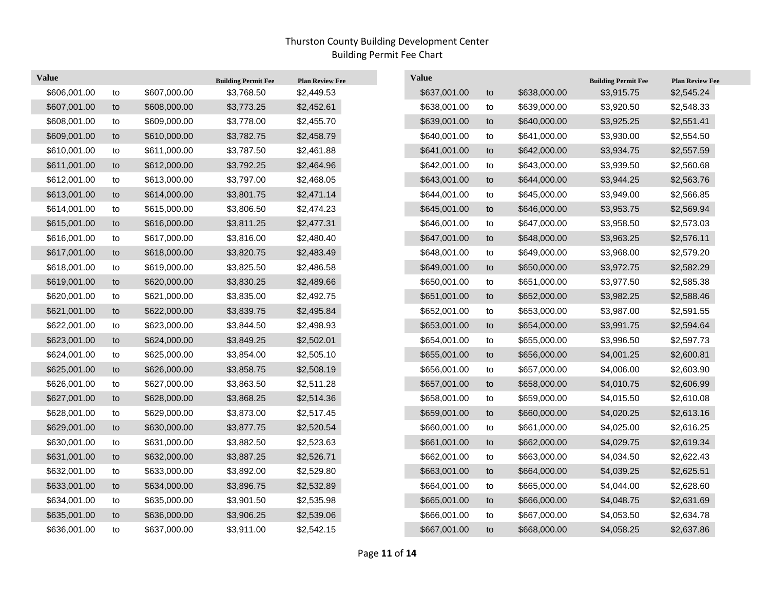| <b>Value</b> |    |              | <b>Building Permit Fee</b> | <b>Plan Review Fee</b> | <b>Value</b> |    |              | <b>Building Permit Fee</b> | <b>Plan Review Fee</b> |
|--------------|----|--------------|----------------------------|------------------------|--------------|----|--------------|----------------------------|------------------------|
| \$606,001.00 | to | \$607,000.00 | \$3,768.50                 | \$2,449.53             | \$637,001.00 | to | \$638,000.00 | \$3,915.75                 | \$2,545.24             |
| \$607,001.00 | to | \$608,000.00 | \$3,773.25                 | \$2,452.61             | \$638,001.00 | to | \$639,000.00 | \$3,920.50                 | \$2,548.33             |
| \$608,001.00 | to | \$609,000.00 | \$3,778.00                 | \$2,455.70             | \$639,001.00 | to | \$640,000.00 | \$3,925.25                 | \$2,551.41             |
| \$609,001.00 | to | \$610,000.00 | \$3,782.75                 | \$2,458.79             | \$640,001.00 | to | \$641,000.00 | \$3,930.00                 | \$2,554.50             |
| \$610,001.00 | to | \$611,000.00 | \$3,787.50                 | \$2,461.88             | \$641,001.00 | to | \$642,000.00 | \$3,934.75                 | \$2,557.59             |
| \$611,001.00 | to | \$612,000.00 | \$3,792.25                 | \$2,464.96             | \$642,001.00 | to | \$643,000.00 | \$3,939.50                 | \$2,560.68             |
| \$612,001.00 | to | \$613,000.00 | \$3,797.00                 | \$2,468.05             | \$643,001.00 | to | \$644,000.00 | \$3,944.25                 | \$2,563.76             |
| \$613,001.00 | to | \$614,000.00 | \$3,801.75                 | \$2,471.14             | \$644,001.00 | to | \$645,000.00 | \$3,949.00                 | \$2,566.85             |
| \$614,001.00 | to | \$615,000.00 | \$3,806.50                 | \$2,474.23             | \$645,001.00 | to | \$646,000.00 | \$3,953.75                 | \$2,569.94             |
| \$615,001.00 | to | \$616,000.00 | \$3,811.25                 | \$2,477.31             | \$646,001.00 | to | \$647,000.00 | \$3,958.50                 | \$2,573.03             |
| \$616,001.00 | to | \$617,000.00 | \$3,816.00                 | \$2,480.40             | \$647,001.00 | to | \$648,000.00 | \$3,963.25                 | \$2,576.11             |
| \$617,001.00 | to | \$618,000.00 | \$3,820.75                 | \$2,483.49             | \$648,001.00 | to | \$649,000.00 | \$3,968.00                 | \$2,579.20             |
| \$618,001.00 | to | \$619,000.00 | \$3,825.50                 | \$2,486.58             | \$649,001.00 | to | \$650,000.00 | \$3,972.75                 | \$2,582.29             |
| \$619,001.00 | to | \$620,000.00 | \$3,830.25                 | \$2,489.66             | \$650,001.00 | to | \$651,000.00 | \$3,977.50                 | \$2,585.38             |
| \$620,001.00 | to | \$621,000.00 | \$3,835.00                 | \$2,492.75             | \$651,001.00 | to | \$652,000.00 | \$3,982.25                 | \$2,588.46             |
| \$621,001.00 | to | \$622,000.00 | \$3,839.75                 | \$2,495.84             | \$652,001.00 | to | \$653,000.00 | \$3,987.00                 | \$2,591.55             |
| \$622,001.00 | to | \$623,000.00 | \$3,844.50                 | \$2,498.93             | \$653,001.00 | to | \$654,000.00 | \$3,991.75                 | \$2,594.64             |
| \$623,001.00 | to | \$624,000.00 | \$3,849.25                 | \$2,502.01             | \$654,001.00 | to | \$655,000.00 | \$3,996.50                 | \$2,597.73             |
| \$624,001.00 | to | \$625,000.00 | \$3,854.00                 | \$2,505.10             | \$655,001.00 | to | \$656,000.00 | \$4,001.25                 | \$2,600.81             |
| \$625,001.00 | to | \$626,000.00 | \$3,858.75                 | \$2,508.19             | \$656,001.00 | to | \$657,000.00 | \$4,006.00                 | \$2,603.90             |
| \$626,001.00 | to | \$627,000.00 | \$3,863.50                 | \$2,511.28             | \$657,001.00 | to | \$658,000.00 | \$4,010.75                 | \$2,606.99             |
| \$627,001.00 | to | \$628,000.00 | \$3,868.25                 | \$2,514.36             | \$658,001.00 | to | \$659,000.00 | \$4,015.50                 | \$2,610.08             |
| \$628,001.00 | to | \$629,000.00 | \$3,873.00                 | \$2,517.45             | \$659,001.00 | to | \$660,000.00 | \$4,020.25                 | \$2,613.16             |
| \$629,001.00 | to | \$630,000.00 | \$3,877.75                 | \$2,520.54             | \$660,001.00 | to | \$661,000.00 | \$4,025.00                 | \$2,616.25             |
| \$630,001.00 | to | \$631,000.00 | \$3,882.50                 | \$2,523.63             | \$661,001.00 | to | \$662,000.00 | \$4,029.75                 | \$2,619.34             |
| \$631,001.00 | to | \$632,000.00 | \$3,887.25                 | \$2,526.71             | \$662,001.00 | to | \$663,000.00 | \$4,034.50                 | \$2,622.43             |
| \$632,001.00 | to | \$633,000.00 | \$3,892.00                 | \$2,529.80             | \$663,001.00 | to | \$664,000.00 | \$4,039.25                 | \$2,625.51             |
| \$633,001.00 | to | \$634,000.00 | \$3,896.75                 | \$2,532.89             | \$664,001.00 | to | \$665,000.00 | \$4,044.00                 | \$2,628.60             |
| \$634,001.00 | to | \$635,000.00 | \$3,901.50                 | \$2,535.98             | \$665,001.00 | to | \$666,000.00 | \$4,048.75                 | \$2,631.69             |
| \$635,001.00 | to | \$636,000.00 | \$3,906.25                 | \$2,539.06             | \$666,001.00 | to | \$667,000.00 | \$4,053.50                 | \$2,634.78             |
| \$636,001.00 | to | \$637,000.00 | \$3,911.00                 | \$2,542.15             | \$667,001.00 | to | \$668,000.00 | \$4,058.25                 | \$2,637.86             |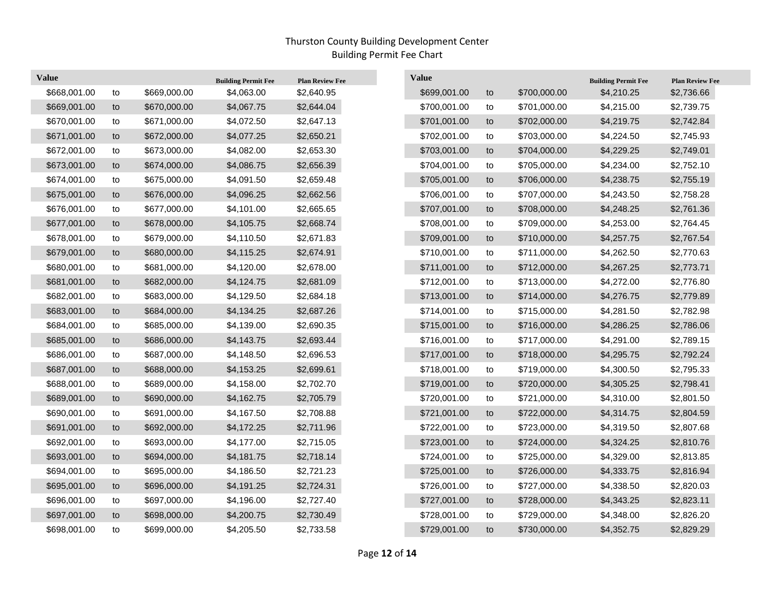| <b>Value</b> |    |              | <b>Building Permit Fee</b> | <b>Plan Review Fee</b> | <b>Value</b> |    |              | <b>Building Permit Fee</b> | <b>Plan Review Fee</b> |
|--------------|----|--------------|----------------------------|------------------------|--------------|----|--------------|----------------------------|------------------------|
| \$668,001.00 | to | \$669,000.00 | \$4,063.00                 | \$2,640.95             | \$699,001.00 | to | \$700,000.00 | \$4,210.25                 | \$2,736.66             |
| \$669,001.00 | to | \$670,000.00 | \$4,067.75                 | \$2,644.04             | \$700,001.00 | to | \$701,000.00 | \$4,215.00                 | \$2,739.75             |
| \$670,001.00 | to | \$671,000.00 | \$4,072.50                 | \$2,647.13             | \$701,001.00 | to | \$702,000.00 | \$4,219.75                 | \$2,742.84             |
| \$671,001.00 | to | \$672,000.00 | \$4,077.25                 | \$2,650.21             | \$702,001.00 | to | \$703,000.00 | \$4,224.50                 | \$2,745.93             |
| \$672,001.00 | to | \$673,000.00 | \$4,082.00                 | \$2,653.30             | \$703,001.00 | to | \$704,000.00 | \$4,229.25                 | \$2,749.01             |
| \$673,001.00 | to | \$674,000.00 | \$4,086.75                 | \$2,656.39             | \$704,001.00 | to | \$705,000.00 | \$4,234.00                 | \$2,752.10             |
| \$674,001.00 | to | \$675,000.00 | \$4,091.50                 | \$2,659.48             | \$705,001.00 | to | \$706,000.00 | \$4,238.75                 | \$2,755.19             |
| \$675,001.00 | to | \$676,000.00 | \$4,096.25                 | \$2,662.56             | \$706,001.00 | to | \$707,000.00 | \$4,243.50                 | \$2,758.28             |
| \$676,001.00 | to | \$677,000.00 | \$4,101.00                 | \$2,665.65             | \$707,001.00 | to | \$708,000.00 | \$4,248.25                 | \$2,761.36             |
| \$677,001.00 | to | \$678,000.00 | \$4,105.75                 | \$2,668.74             | \$708,001.00 | to | \$709,000.00 | \$4,253.00                 | \$2,764.45             |
| \$678,001.00 | to | \$679,000.00 | \$4,110.50                 | \$2,671.83             | \$709,001.00 | to | \$710,000.00 | \$4,257.75                 | \$2,767.54             |
| \$679,001.00 | to | \$680,000.00 | \$4,115.25                 | \$2,674.91             | \$710,001.00 | to | \$711,000.00 | \$4,262.50                 | \$2,770.63             |
| \$680,001.00 | to | \$681,000.00 | \$4,120.00                 | \$2,678.00             | \$711,001.00 | to | \$712,000.00 | \$4,267.25                 | \$2,773.71             |
| \$681,001.00 | to | \$682,000.00 | \$4,124.75                 | \$2,681.09             | \$712,001.00 | to | \$713,000.00 | \$4,272.00                 | \$2,776.80             |
| \$682,001.00 | to | \$683,000.00 | \$4,129.50                 | \$2,684.18             | \$713,001.00 | to | \$714,000.00 | \$4,276.75                 | \$2,779.89             |
| \$683,001.00 | to | \$684,000.00 | \$4,134.25                 | \$2,687.26             | \$714,001.00 | to | \$715,000.00 | \$4,281.50                 | \$2,782.98             |
| \$684,001.00 | to | \$685,000.00 | \$4,139.00                 | \$2,690.35             | \$715,001.00 | to | \$716,000.00 | \$4,286.25                 | \$2,786.06             |
| \$685,001.00 | to | \$686,000.00 | \$4,143.75                 | \$2,693.44             | \$716,001.00 | to | \$717,000.00 | \$4,291.00                 | \$2,789.15             |
| \$686,001.00 | to | \$687,000.00 | \$4,148.50                 | \$2,696.53             | \$717,001.00 | to | \$718,000.00 | \$4,295.75                 | \$2,792.24             |
| \$687,001.00 | to | \$688,000.00 | \$4,153.25                 | \$2,699.61             | \$718,001.00 | to | \$719,000.00 | \$4,300.50                 | \$2,795.33             |
| \$688,001.00 | to | \$689,000.00 | \$4,158.00                 | \$2,702.70             | \$719,001.00 | to | \$720,000.00 | \$4,305.25                 | \$2,798.41             |
| \$689,001.00 | to | \$690,000.00 | \$4,162.75                 | \$2,705.79             | \$720,001.00 | to | \$721,000.00 | \$4,310.00                 | \$2,801.50             |
| \$690,001.00 | to | \$691,000.00 | \$4,167.50                 | \$2,708.88             | \$721,001.00 | to | \$722,000.00 | \$4,314.75                 | \$2,804.59             |
| \$691,001.00 | to | \$692,000.00 | \$4,172.25                 | \$2,711.96             | \$722,001.00 | to | \$723,000.00 | \$4,319.50                 | \$2,807.68             |
| \$692,001.00 | to | \$693,000.00 | \$4,177.00                 | \$2,715.05             | \$723,001.00 | to | \$724,000.00 | \$4,324.25                 | \$2,810.76             |
| \$693,001.00 | to | \$694,000.00 | \$4,181.75                 | \$2,718.14             | \$724,001.00 | to | \$725,000.00 | \$4,329.00                 | \$2,813.85             |
| \$694,001.00 | to | \$695,000.00 | \$4,186.50                 | \$2,721.23             | \$725,001.00 | to | \$726,000.00 | \$4,333.75                 | \$2,816.94             |
| \$695,001.00 | to | \$696,000.00 | \$4,191.25                 | \$2,724.31             | \$726,001.00 | to | \$727,000.00 | \$4,338.50                 | \$2,820.03             |
| \$696,001.00 | to | \$697,000.00 | \$4,196.00                 | \$2,727.40             | \$727,001.00 | to | \$728,000.00 | \$4,343.25                 | \$2,823.11             |
| \$697,001.00 | to | \$698,000.00 | \$4,200.75                 | \$2,730.49             | \$728,001.00 | to | \$729,000.00 | \$4,348.00                 | \$2,826.20             |
| \$698,001.00 | to | \$699,000.00 | \$4,205.50                 | \$2,733.58             | \$729,001.00 | to | \$730,000.00 | \$4,352.75                 | \$2,829.29             |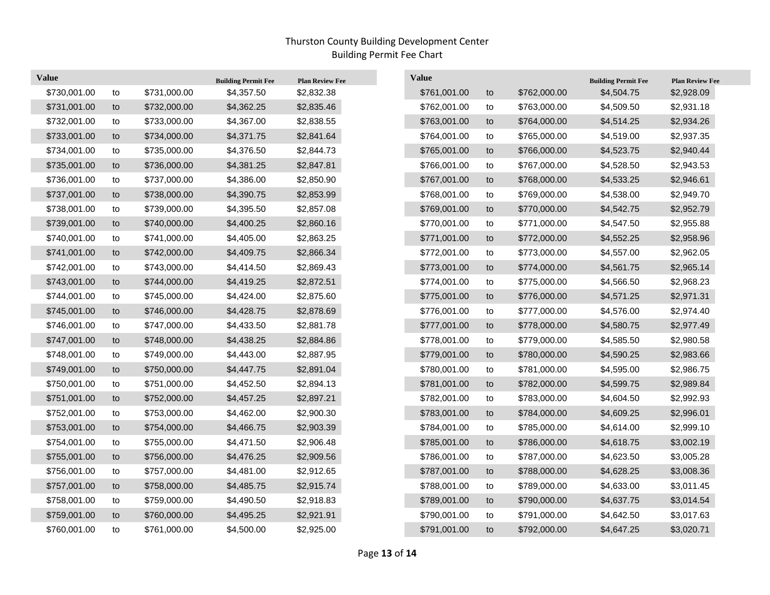| <b>Value</b> |    |              | <b>Building Permit Fee</b> | <b>Plan Review Fee</b> | <b>Value</b> |            |              | <b>Building Permit Fee</b> | <b>Plan Review Fee</b> |
|--------------|----|--------------|----------------------------|------------------------|--------------|------------|--------------|----------------------------|------------------------|
| \$730,001.00 | to | \$731,000.00 | \$4,357.50                 | \$2,832.38             | \$761,001.00 | to         | \$762,000.00 | \$4,504.75                 | \$2,928.09             |
| \$731,001.00 | to | \$732,000.00 | \$4,362.25                 | \$2,835.46             | \$762,001.00 | to         | \$763,000.00 | \$4,509.50                 | \$2,931.18             |
| \$732,001.00 | to | \$733,000.00 | \$4,367.00                 | \$2,838.55             | \$763,001.00 | to         | \$764,000.00 | \$4,514.25                 | \$2,934.26             |
| \$733,001.00 | to | \$734,000.00 | \$4,371.75                 | \$2,841.64             | \$764,001.00 | to         | \$765,000.00 | \$4,519.00                 | \$2,937.35             |
| \$734,001.00 | to | \$735,000.00 | \$4,376.50                 | \$2,844.73             | \$765,001.00 | to         | \$766,000.00 | \$4,523.75                 | \$2,940.44             |
| \$735,001.00 | to | \$736,000.00 | \$4,381.25                 | \$2,847.81             | \$766,001.00 | to         | \$767,000.00 | \$4,528.50                 | \$2,943.53             |
| \$736,001.00 | to | \$737,000.00 | \$4,386.00                 | \$2,850.90             | \$767,001.00 | to         | \$768,000.00 | \$4,533.25                 | \$2,946.61             |
| \$737,001.00 | to | \$738,000.00 | \$4,390.75                 | \$2,853.99             | \$768,001.00 | ${\sf to}$ | \$769,000.00 | \$4,538.00                 | \$2,949.70             |
| \$738,001.00 | to | \$739,000.00 | \$4,395.50                 | \$2,857.08             | \$769,001.00 | to         | \$770,000.00 | \$4,542.75                 | \$2,952.79             |
| \$739,001.00 | to | \$740,000.00 | \$4,400.25                 | \$2,860.16             | \$770,001.00 | to         | \$771,000.00 | \$4,547.50                 | \$2,955.88             |
| \$740,001.00 | to | \$741,000.00 | \$4,405.00                 | \$2,863.25             | \$771,001.00 | to         | \$772,000.00 | \$4,552.25                 | \$2,958.96             |
| \$741,001.00 | to | \$742,000.00 | \$4,409.75                 | \$2,866.34             | \$772,001.00 | to         | \$773,000.00 | \$4,557.00                 | \$2,962.05             |
| \$742,001.00 | to | \$743,000.00 | \$4,414.50                 | \$2,869.43             | \$773,001.00 | to         | \$774,000.00 | \$4,561.75                 | \$2,965.14             |
| \$743,001.00 | to | \$744,000.00 | \$4,419.25                 | \$2,872.51             | \$774,001.00 | to         | \$775,000.00 | \$4,566.50                 | \$2,968.23             |
| \$744,001.00 | to | \$745,000.00 | \$4,424.00                 | \$2,875.60             | \$775,001.00 | to         | \$776,000.00 | \$4,571.25                 | \$2,971.31             |
| \$745,001.00 | to | \$746,000.00 | \$4,428.75                 | \$2,878.69             | \$776,001.00 | to         | \$777,000.00 | \$4,576.00                 | \$2,974.40             |
| \$746,001.00 | to | \$747,000.00 | \$4,433.50                 | \$2,881.78             | \$777,001.00 | to         | \$778,000.00 | \$4,580.75                 | \$2,977.49             |
| \$747,001.00 | to | \$748,000.00 | \$4,438.25                 | \$2,884.86             | \$778,001.00 | to         | \$779,000.00 | \$4,585.50                 | \$2,980.58             |
| \$748,001.00 | to | \$749,000.00 | \$4,443.00                 | \$2,887.95             | \$779,001.00 | to         | \$780,000.00 | \$4,590.25                 | \$2,983.66             |
| \$749,001.00 | to | \$750,000.00 | \$4,447.75                 | \$2,891.04             | \$780,001.00 | to         | \$781,000.00 | \$4,595.00                 | \$2,986.75             |
| \$750,001.00 | to | \$751,000.00 | \$4,452.50                 | \$2,894.13             | \$781,001.00 | to         | \$782,000.00 | \$4,599.75                 | \$2,989.84             |
| \$751,001.00 | to | \$752,000.00 | \$4,457.25                 | \$2,897.21             | \$782,001.00 | to         | \$783,000.00 | \$4,604.50                 | \$2,992.93             |
| \$752,001.00 | to | \$753,000.00 | \$4,462.00                 | \$2,900.30             | \$783,001.00 | to         | \$784,000.00 | \$4,609.25                 | \$2,996.01             |
| \$753,001.00 | to | \$754,000.00 | \$4,466.75                 | \$2,903.39             | \$784,001.00 | to         | \$785,000.00 | \$4,614.00                 | \$2,999.10             |
| \$754,001.00 | to | \$755,000.00 | \$4,471.50                 | \$2,906.48             | \$785,001.00 | to         | \$786,000.00 | \$4,618.75                 | \$3,002.19             |
| \$755,001.00 | to | \$756,000.00 | \$4,476.25                 | \$2,909.56             | \$786,001.00 | to         | \$787,000.00 | \$4,623.50                 | \$3,005.28             |
| \$756,001.00 | to | \$757,000.00 | \$4,481.00                 | \$2,912.65             | \$787,001.00 | to         | \$788,000.00 | \$4,628.25                 | \$3,008.36             |
| \$757,001.00 | to | \$758,000.00 | \$4,485.75                 | \$2,915.74             | \$788,001.00 | to         | \$789,000.00 | \$4,633.00                 | \$3,011.45             |
| \$758,001.00 | to | \$759,000.00 | \$4,490.50                 | \$2,918.83             | \$789,001.00 | to         | \$790,000.00 | \$4,637.75                 | \$3,014.54             |
| \$759,001.00 | to | \$760,000.00 | \$4,495.25                 | \$2,921.91             | \$790,001.00 | to         | \$791,000.00 | \$4,642.50                 | \$3,017.63             |
| \$760,001.00 | to | \$761,000.00 | \$4,500.00                 | \$2,925.00             | \$791,001.00 | to         | \$792,000.00 | \$4,647.25                 | \$3,020.71             |